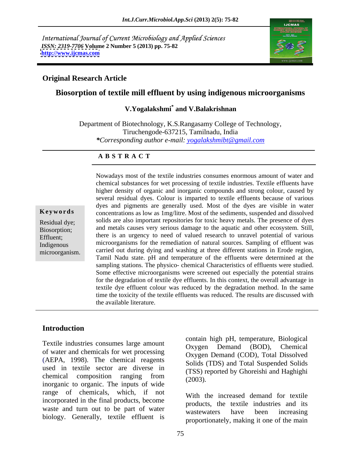International Journal of Current Microbiology and Applied Sciences *ISSN: 2319-7706* **Volume 2 Number 5 (2013) pp. 75-82 <http://www.ijcmas.com>**



#### **Original Research Article**

# **Biosorption of textile mill effluent by using indigenous microorganisms**

#### **V.Yogalakshmi\* and V.Balakrishnan**

Department of Biotechnology, K.S.Rangasamy College of Technology, Tiruchengode-637215, Tamilnadu, India *\*Corresponding author e-mail: yogalakshmibt@gmail.com*

#### **A B S T R A C T**

valued research to unlaver potential or various **Keywords** concentrations as low as 1mg/litre. Most of the sediments, suspended and dissolved Residual dye; solids are also important repositories for toxic heavy metals. The presence of dyes Biosorption; and metals causes very serious damage to the aquatic and other ecosystem. Still, Effluent; there is an urgency to need of valued research to unravel potential of various Indigenous microorganisms for the remediation of natural sources. Sampling of effluent was microorganism. carried out during dying and washing at three different stations in Erode region, Nowadays most of the textile industries consumes enormous amount of water and chemical substances for wet processing of textile industries. Textile effluents have higher density of organic and inorganic compounds and strong colour, caused by several residual dyes. Colour is imparted to textile effluents because of various dyes and pigments are generally used. Most of the dyes are visible in water Tamil Nadu state. pH and temperature of the effluents were determined at the sampling stations. The physico- chemical Characteristics of effluents were studied. Some effective microorganisms were screened out especially the potential strains for the degradation of textile dye effluents. In this context, the overall advantage in textile dye effluent colour was reduced by the degradation method. In the same time the toxicity of the textile effluents was reduced. The results are discussed with the available literature.

#### **Introduction**

Textile industries consumes large amount<br>Oxygen Demand (BOD), Chemical of water and chemicals for wet processing (AEPA, 1998). The chemical reagents used in textile sector are diverse in chemical composition ranging from  $(2002)$  $\frac{1}{2003}$ .<br>inorganic to organic. The inputs of wide  $(2003)$ . range of chemicals, which, if not incorporated in the final products, become waste and turn out to be part of water wastewaters have been increasing biology. Generally, textile effluent is

contain high pH, temperature, Biological Oxygen Demand (BOD), Chemical Oxygen Demand (COD), Total Dissolved Solids (TDS) and Total Suspended Solids (TSS) reported by Ghoreishi and Haghighi (2003).

With the increased demand for textile products, the textile industries and its wastewaters have been increasing proportionately, making it one of the main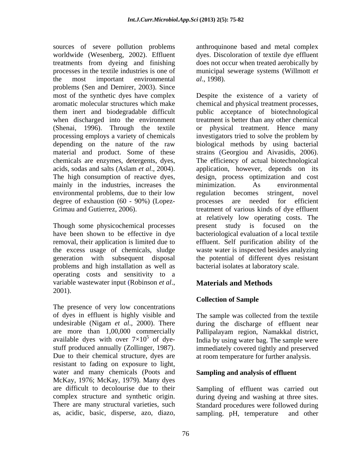sources of severe pollution problems worldwide (Wesenberg, 2002). Effluent dyes. Discoloration of textile dye effluent treatments from dyeing and finishing processes in the textile industries is one of municipal sewerage systems (Willmott *et*  the most important environmental al., 1998). problems (Sen and Demirer, 2003). Since (Shenai, 1996). Through the textile mainly in the industries, increases the minimization. As environmental environmental problems, due to their low regulation becomes stringent, novel degree of exhaustion (60 - 90%) (Lopez-<br>processes are needed for efficient

Though some physicochemical processes being present study is focused on the problems and high installation as well as operating costs and sensitivity to a variable wastewater input (Robinson *et al.*, **Materials and Methods** 2001).

The presence of very low concentrations of dyes in effluent is highly visible and undesirable (Nigam *et al*., 2000). There are more than 1,00,000 commercially<br>available dyes with over  $7 \times 10^5$  of dye-<br>India by using water bag. The sample were available dyes with over  $7 \times 10^5$  of dye-<br>India by using water bag. The sample were stuff produced annually (Zollinger, 1987). immediately covered tightly and preserved Due to their chemical structure, dyes are at room temperature for further analysis. resistant to fading on exposure to light, water and many chemicals (Poots and McKay, 1976; McKay, 1979). Many dyes as, acidic, basic, disperse, azo, diazo,

anthroquinone based and metal complex does not occur when treated aerobically by *al*., 1998).

most of the synthetic dyes have complex Despite the existence of a variety of aromatic molecular structures which make chemical and physical treatment processes, them inert and biodegradable difficult public acceptance of biotechnological when discharged into the environment treatment is better than any other chemical processing employs a variety of chemicals investigators tried to solve the problem by depending on the nature of the raw biological methods by using bacterial material and product. Some of these strains (Georgiou and Aivasidis, 2006). chemicals are enzymes, detergents, dyes, The efficiency of actual biotechnological acids, sodas and salts (Aslam *et al*., 2004). application, however, depends on its The high consumption of reactive dyes, design, process optimization and cost Grimau and Gutierrez, 2006). treatment of various kinds of dye effluent have been shown to be effective in dye bacteriological evaluation of a local textile removal, their application is limited due to effluent. Self purification ability of the the excess usage of chemicals, sludge waste water is inspected besides analyzing generation with subsequent disposal the potential of different dyes resistant physical treatment. Hence many minimization. As environmental regulation becomes stringent, novel processes are needed for efficient at relatively low operating costs. The present study is focused on the bacterial isolates at laboratory scale.

# **Materials and Methods**

# **Collection of Sample**

The sample was collected from the textile during the discharge of effluent near Pallipalayam region, Namakkal district, India by using water bag. The sample were

# **Sampling and analysis of effluent**

are difficult to decolourise due to their Sampling of effluent was carried out complex structure and synthetic origin. during dyeing and washing at three sites. There are many structural varieties, such Standard procedures were followed during sampling. pH, temperature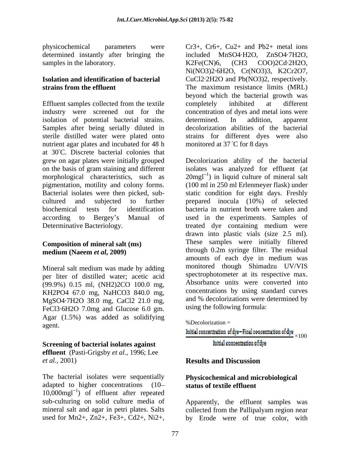physicochemical parameters were Cr3+, Cr6+, Cu2+ and Pb2+ metal ions determined instantly after bringing the samples in the laboratory. <br>
K2Fe(CN)6, (CH3 COO)2Cd·2H2O,

Effluent samples collected from the textile completely inhibited at different industry were screened out for the concentration of dyes and metal ions were isolation of potential bacterial strains. determined. In addition, apparent Samples after being serially diluted in sterile distilled water were plated onto nutrient agar plates and incubated for 48 h at 30 C. Discrete bacterial colonies that grew on agar plates were initially grouped Decolorization ability of the bacterial on the basis of gram staining and different isolates was analyzed for effluent (at morphological characteristics, such as  $20$ mgl<sup>-1</sup>) in liquid culture of mineral salt pigmentation, motility and colony forms. (100 ml in 250 ml Erlenmeyer flask) under Bacterial isolates were then picked, sub- static condition for eight days. Freshly cultured and subjected to further prepared inocula (10%) of selected biochemical tests for identification bacteria in nutrient broth were taken and according to Bergey s Manual of used in the experiments. Samples of Determinative Bacteriology. treated dye containing medium were

#### **Composition of mineral salt (ms) medium (Naeem** *et al***, 2009)**

Mineral salt medium was made by adding per liter of distilled water; acetic acid (99.9%) 0.15 ml, (NH2)2CO 100.0 mg, KH2PO4 67.0 mg, NaHCO3 840.0 mg, concentrations by using standard curves<br>MgSO4.7H2O 38.0 mg, CaCl2 21.0 mg, and % decolorizations were determined by MgSO4·7H2O 38.0 mg, CaCl2 21.0 mg, FeCl3·6H2O 7.0mg and Glucose 6.0 gm. Agar (1.5%) was added as solidifying  $\frac{96}{2}$  Decolorization =  $\gamma_0$  Decolorization =

# **Screening of bacterial isolates against initial concentration of dye**

**effluent** (Pasti-Grigsby *et al.,* 1996; Lee *et al.*, 2001) **Results and Discussion** 

The bacterial isolates were sequentially adapted to higher concentrations (10  $10,000$ mgl<sup>-1</sup>) of effluent after repeated sub-culturing on solid culture media of Apparently, the effluent samples was mineral salt and agar in petri plates. Salts collected from the Pallipalyam region near

**Isolation and identification of bacterial**  CuCl2·2H2O and Pb(NO3)2, respectively. **strains from the effluent** The maximum resistance limits (MRL) included MnSO4·H2O, ZnSO4·7H2O, K2Fe(CN)6, (CH3 COO)2Cd·2H2O, Ni(NO3)2·6H2O, Cr(NO3)3, K2Cr2O7, beyond which the bacterial growth was completely inhibited at different determined. In addition, apparent decolorization abilities of the bacterial strains for different dyes were also monitored at  $37^{\circ}$ C for 8 days

physicical parameters was considered in the second from the second interaction of the basic of the basic of the consideration of basic and the distance of the consideration of basic and the distance of the consideration o drawn into plastic vials (size 2.5 ml). These samples were initially filtered through 0.2m syringe filter. The residual amounts of each dye in medium was monitored though Shimadzu UV/VIS spectrophotometer at its respective max. Absorbance units were converted into concentrations by using standard curves and % decolorizations were determined by using the following formula:

%Decolorization =

Initial concentration of dye-Final concentration of dye  $\cdots$ 

# **Results and Discussion**

## **Physicochemical and microbiological status of textile effluent**

collected from the Pallipalyam region near by Erode were of true color, with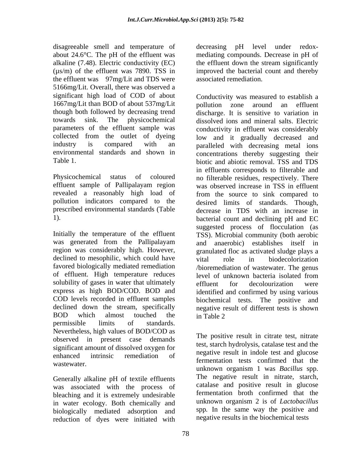disagreeable smell and temperature of decreasing pH level under redoxabout 24.6°C. The pH of the effluent was mediating compounds. Decrease in pH of alkaline (7.48). Electric conductivity (EC) the effluent down the stream significantly (µs/m) of the effluent was 7890. TSS in improved the bacterial count and thereby the effluent was 97mg/Lit and TDS were 5166mg/Lit. Overall, there was observed a significant high load of COD of about Conductivity was measured to establish a 1667mg/Lit than BOD of about 537mg/Lit though both followed by decreasing trend parameters of the effluent sample was

Initially the temperature of the effluent declined to mesophilic, which could have vital role in biodecolorization favored biologically mediated remediation of effluent. High temperature reduces level of unknown bacteria isolated from solubility of gases in water that ultimately effluent for decolourization were permissible limits of standards. Nevertheless, high values of BOD/COD as observed in present case demands significant amount of dissolved oxygen for enhanced intrinsic remediation of hegative result in mode test and glucose wastewater.

Generally alkaline pH of textile effluents was associated with the process of bleaching and it is extremely undesirable in water ecology. Both chemically and biologically mediated adsorption and reduction of dyes were initiated with

decreasing pH level under redox the effluent down the stream significantly associated remediation.

towards sink. The physicochemical dissolved ions and mineral salts. Electric collected from the outlet of dyeing low and it gradually decreased and industry is compared with an paralleled with decreasing metal ions environmental standards and shown in concentrations thereby suggesting their Table 1. biotic and abiotic removal. TSS and TDS Physicochemical status of coloured no filterable residues, respectively. There effluent sample of Pallipalayam region was observed increase in TSS in effluent revealed a reasonably high load of from the source to sink compared to pollution indicators compared to the desired limits of standards. Though, prescribed environmental standards (Table decrease in TDS with an increase in 1). bacterial count and declining pH and EC was generated from the Pallipalayam and anaerobic) establishes itself in region was considerably high. However, granulated floc as activated sludge plays a express as high BOD/COD. BOD and identified and confirmed by using various COD levels recorded in effluent samples biochemical tests. The positive and declined down the stream, specifically negative result of different tests is shown BOD which almost touched the in Table 2 pollution zone around an effluent discharge. It is sensitive to variation in conductivity in effluent was considerably in effluents corresponds to filterable and suggested process of flocculation (as TSS). Microbial community (both aerobic vital role in biodecolorization /bioremediation of wastewater. The genus level of unknown bacteria isolated from effluent for decolourization were in Table 2

> The positive result in citrate test, nitrate test, starch hydrolysis, catalase test and the negative result in indole test and glucose fermentation tests confirmed that the unknown organism 1 was *Bacillus* spp. The negative result in nitrate, starch, catalase and positive result in glucose fermentation broth confirmed that the unknown organism 2 is of *Lactobacillus* spp*.* In the same way the positive and negative results in the biochemical tests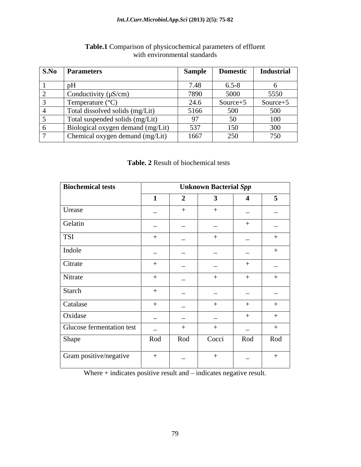| <b>S.No Parameters</b>            | <b>Sample</b>  | <b>Domestic</b> | <b>Industrial</b> |
|-----------------------------------|----------------|-----------------|-------------------|
|                                   |                |                 |                   |
| pH                                | 7.48           | $6.5 - 8$       |                   |
| Conductivity $(\mu S/cm)$         | 7890           | 5000            | 5550              |
| Temperature $(^{\circ}C)$         | 24.6           | Source $+5$     | Source+5          |
| Total dissolved solids (mg/Lit)   | 5166           | 500             | 500               |
| Total suspended solids (mg/Lit)   | Q <sub>7</sub> | 50              | 100               |
| Biological oxygen demand (mg/Lit) | 537            | 150             | 300               |
| Chemical oxygen demand (mg/Lit)   | 1667           | 250             | 750               |

### **Table.1** Comparison of physicochemical parameters of effluent with environmental standards with environmental standards

## **Table. 2** Result of biochemical tests

| <b>Biochemical tests</b>  | <b>Unknown Bacterial Spp</b> |                          |                          |                          |                          |  |  |  |
|---------------------------|------------------------------|--------------------------|--------------------------|--------------------------|--------------------------|--|--|--|
|                           |                              | $\rightarrow$            |                          |                          | 5                        |  |  |  |
| Urease                    | $\sim$                       | $+$                      |                          | $\overline{\phantom{0}}$ | $\overline{\phantom{0}}$ |  |  |  |
| Gelatin                   | $\sim$                       | $\overline{\phantom{0}}$ | $\overline{\phantom{0}}$ | $^{+}$                   | $\overline{\phantom{0}}$ |  |  |  |
| <b>TSI</b>                |                              | $\overline{\phantom{0}}$ |                          | $\overline{\phantom{0}}$ |                          |  |  |  |
| Indole                    | $\overline{\phantom{0}}$     | $\sim$                   |                          | $\overline{\phantom{0}}$ | $^{+}$                   |  |  |  |
| Citrate                   |                              | $\overline{\phantom{0}}$ | $\overline{\phantom{0}}$ | $^{+}$                   | $\overline{\phantom{0}}$ |  |  |  |
| Nitrate                   | $+$                          | $\overline{\phantom{0}}$ |                          |                          | $+$                      |  |  |  |
| Starch                    |                              | $\overline{\phantom{0}}$ | $\overline{\phantom{0}}$ | $\overline{\phantom{0}}$ | $\overline{\phantom{0}}$ |  |  |  |
| Catalase                  |                              | $\overline{\phantom{0}}$ |                          |                          |                          |  |  |  |
| Oxidase                   | $\overline{\phantom{a}}$     | $\overline{\phantom{0}}$ | $\equiv$                 |                          |                          |  |  |  |
| Glucose fermentation test | $\overline{\phantom{a}}$     | $+$                      |                          | $\overline{\phantom{0}}$ | $^+$                     |  |  |  |
| Shape                     | Rod                          | Rod                      | Cocci                    | Rod                      | Rod                      |  |  |  |
| Gram positive/negative    | $+$                          | $\sim$                   | $^{+}$                   | $\sim$                   | $+$                      |  |  |  |

Where  $+$  indicates positive result and  $-$  indicates negative result.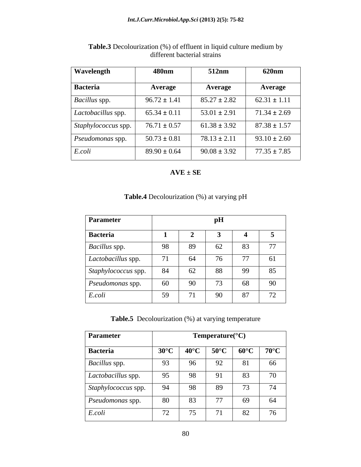| <b>Wavelength</b>                                           | 480 <sub>nm</sub> | 512nm            | <b>620nm</b>     |
|-------------------------------------------------------------|-------------------|------------------|------------------|
| Bacteria                                                    | Average           | <b>Average</b>   | <b>Average</b>   |
| <i>Bacillus</i> spp.                                        | $96.72 \pm 1.41$  | $85.27 \pm 2.82$ | $62.31 \pm 1.11$ |
| Lactobacillus spp.                                          | $65.34 \pm 0.11$  | $53.01 \pm 2.91$ | $71.34 \pm 2.69$ |
| $\vert$ <i>Staphylococcus</i> spp. $\vert$ 76.71 $\pm$ 0.57 |                   | $61.38 \pm 3.92$ | $87.38 \pm 1.57$ |
| <i>Pseudomonas</i> spp.                                     | $50.73 \pm 0.81$  | $78.13 \pm 2.11$ | $93.10 \pm 2.60$ |
| E.coli                                                      | $89.90 \pm 0.64$  | $90.08 \pm 3.92$ | $77.35 \pm 7.85$ |

**Table.3** Decolourization (%) of effluent in liquid culture medium by different bacterial strains and the strains of the strains of the strains of the strains of the strains of the strains of the strains of the strains of the strains of the strains of the strains of the strains of the strain

**AVE ± SE**

| Parameter           |              |                                | pH |                |                 |
|---------------------|--------------|--------------------------------|----|----------------|-----------------|
| Bacteria            |              |                                |    |                |                 |
| Bacillus spp.       | 98           | 89                             | 62 | 83             | 77              |
| Lactobacillus spp.  | 71<br>7 L    | 64                             | 76 | 77<br>$\prime$ | 61              |
| Staphylococcus spp. | 84           | 62                             | 88 | 99             | 85              |
| Pseudomonas spp.    | 60           | 90                             | 73 | 68             | 90              |
| E.coli              | $50^{\circ}$ | 71<br>$\overline{\phantom{a}}$ | 90 | 87             | $\overline{72}$ |

# **Table.4** Decolourization (%) at varying pH

**Table.5** Decolourization (%) at varying temperature

| Parameter                 |                                            |                                | $Temperature(^{\circ}C)$ |    |                                        |
|---------------------------|--------------------------------------------|--------------------------------|--------------------------|----|----------------------------------------|
| Bacteria                  | $30^{\circ}$ C                             |                                |                          |    | 40°C   50°C   60°C   70°C <sub> </sub> |
| <b>Bacillus</b> spp.      | Q <sub>3</sub><br>$\overline{\phantom{a}}$ | 96<br>$\overline{\phantom{0}}$ | 92                       | 81 | 66                                     |
| <i>Lactobacillus</i> spp. | Q5<br>$\overline{\phantom{a}}$             | 98                             | 91                       | 83 | 70                                     |
| Staphylococcus spp.       | $Q_{\Delta}$                               | 98                             | 89                       | 73 | 74                                     |
| <i>Pseudomonas</i> spp.   | 80                                         | 83                             | 77                       | 69 | 64                                     |
| $E.$ coli                 | $\overline{a}$<br>$\sqrt{2}$               | $\overline{z}$                 | 71                       | 82 | 76                                     |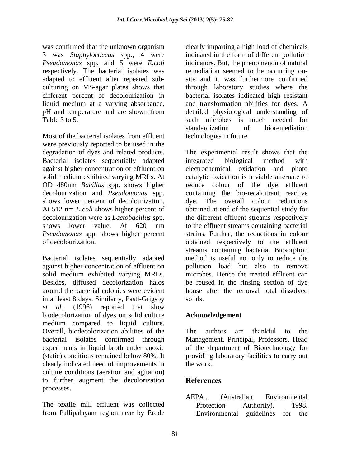was confirmed that the unknown organism clearly imparting a high load of chemicals 3 was *Staphylococcus* spp., 4 were *Pseudomonas* spp*.* and 5 were *E.coli* respectively. The bacterial isolates was adapted to effluent after repeated sub culturing on MS-agar plates shows that through laboratory studies where the different percent of decolourization in bacterial isolates indicated high resistant liquid medium at a varying absorbance, and transformation abilities for dyes. A pH and temperature and are shown from detailed physiological understanding of Table 3 to 5. Such microbes is much needed for such a such microbes is much needed for

Most of the bacterial isolates from effluent technologies in future. were previously reported to be used in the Bacterial isolates sequentially adapted integrated biological method with against higher concentration of effluent on electrochemical oxidation and photo solid medium exhibited varying MRLs. At OD 480nm *Bacillus* spp. shows higher decolourization and *Pseudomonas* spp. shows lower percent of decolourization. *Pseudomonas* spp. shows higher percent

Bacterial isolates sequentially adapted against higher concentration of effluent on solid medium exhibited varying MRLs. in at least 8 days. Similarly, Pasti-Grigsby *et al.,* (1996) reported that slow biodecolorization of dyes on solid culture medium compared to liquid culture. Overall, biodecolorization abilities of the The authors are thankful to the bacterial isolates confirmed through Management, Principal, Professors, Head experiments in liquid broth under anoxic of the department of Biotechnology for (static) conditions remained below 80%. It providing laboratory facilities to carry out clearly indicated need of improvements in culture conditions (aeration and agitation) to further augment the decolorization processes.

The textile mill effluent was collected Protection Authority). 1998. from Pallipalayam region near by Erode

indicated in the form of different pollution indicators. But, the phenomenon of natural remediation seemed to be occurring on site and it was furthermore confirmed detailed physiological understanding of standardization of bioremediation technologies in future.

degradation of dyes and related products. The experimental result shows that the At 512 nm *E.coli* shows higher percent of obtained at end of the sequential study for decolourization were as *Lactobacillus* spp. the different effluent streams respectively shows lower value. At 620 nm to the effluent streams containing bacterial of decolourization. obtained respectively to the effluent Besides, diffused decolorization halos be reused in the rinsing section of dye around the bacterial colonies were evident house after the removal total dissolved integrated biological method with electrochemical oxidation and photo catalytic oxidation is a viable alternate to reduce colour of the dye effluent containing the bio-recalcitrant reactive dye. The overall colour reductions to the effluent streams containing bacterial strains. Further, the reductions in colour streams containing bacteria. Biosorption method is useful not only to reduce the pollution load but also to remove microbes. Hence the treated effluent can solids.

# **Acknowledgement**

authors are thankful to the work.

# **References**

AEPA., (Australian Environmental Protection Authority). 1998. Environmental guidelines for the